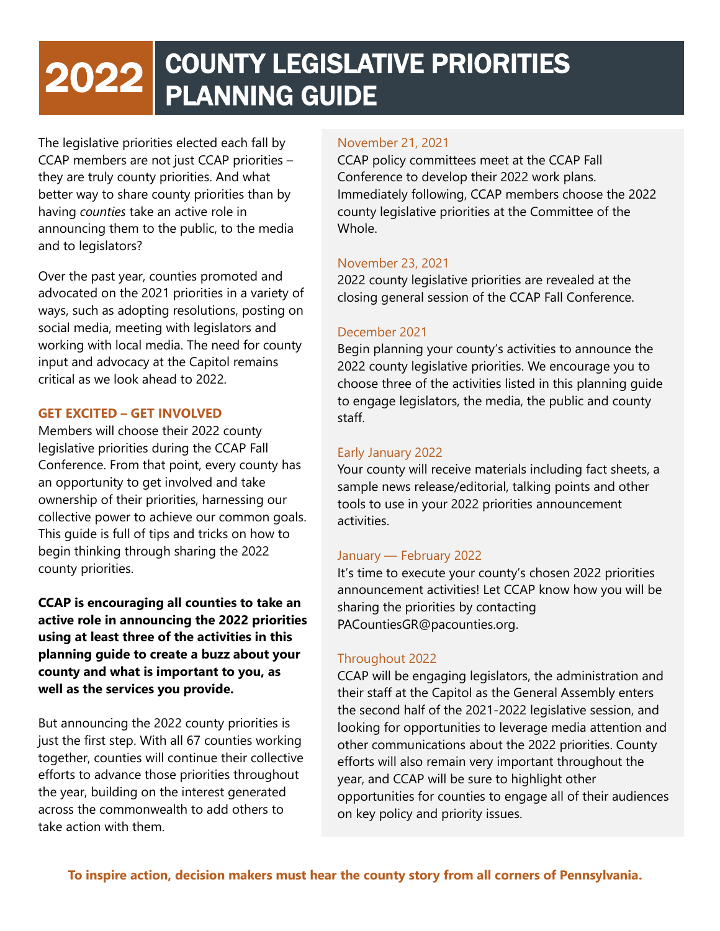### i 2022 COUNTY LEGISLATIVE PRIORITIES PLANNING GUIDE

The legislative priorities elected each fall by<br>CCAP members are not just CCAP priorities – The legislative priorities elected each fall by they are truly county priorities. And what better way to share county priorities than by having *counties* take an active role in announcing them to the public, to the media and to legislators?

Over the past year, counties promoted and advocated on the 2021 priorities in a variety of ways, such as adopting resolutions, posting on social media, meeting with legislators and working with local media. The need for county input and advocacy at the Capitol remains critical as we look ahead to 2022.

#### **GET EXCITED – GET INVOLVED**

Members will choose their 2022 county legislative priorities during the CCAP Fall Conference. From that point, every county has an opportunity to get involved and take ownership of their priorities, harnessing our collective power to achieve our common goals. This guide is full of tips and tricks on how to begin thinking through sharing the 2022 county priorities.

**CCAP is encouraging all counties to take an active role in announcing the 2022 priorities using at least three of the activities in this planning guide to create a buzz about your county and what is important to you, as well as the services you provide.** 

But announcing the 2022 county priorities is just the first step. With all 67 counties working together, counties will continue their collective efforts to advance those priorities throughout the year, building on the interest generated across the commonwealth to add others to take action with them.

#### November 21, 2021

CCAP policy committees meet at the CCAP Fall Conference to develop their 2022 work plans. Immediately following, CCAP members choose the 2022 county legislative priorities at the Committee of the Whole.

#### November 23, 2021

2022 county legislative priorities are revealed at the closing general session of the CCAP Fall Conference.

#### December 2021

Begin planning your county's activities to announce the 2022 county legislative priorities. We encourage you to choose three of the activities listed in this planning guide to engage legislators, the media, the public and county staff.

#### Early January 2022

Your county will receive materials including fact sheets, a sample news release/editorial, talking points and other tools to use in your 2022 priorities announcement activities.

#### January — February 2022

It's time to execute your county's chosen 2022 priorities announcement activities! Let CCAP know how you will be sharing the priorities by contacting PACountiesGR@pacounties.org.

#### Throughout 2022

CCAP will be engaging legislators, the administration and their staff at the Capitol as the General Assembly enters the second half of the 2021-2022 legislative session, and looking for opportunities to leverage media attention and other communications about the 2022 priorities. County efforts will also remain very important throughout the year, and CCAP will be sure to highlight other opportunities for counties to engage all of their audiences on key policy and priority issues.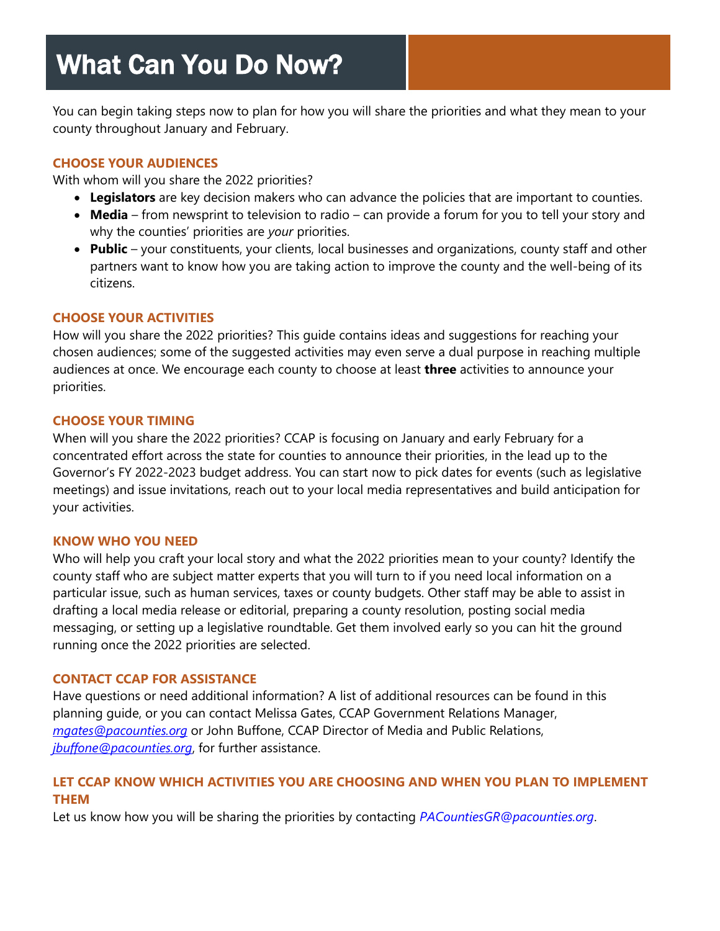# What Can You Do Now?

You can begin taking steps now to plan for how you will share the priorities and what they mean to your county throughout January and February.

#### **CHOOSE YOUR AUDIENCES**

With whom will you share the 2022 priorities?

- **Legislators** are key decision makers who can advance the policies that are important to counties.
- **Media** from newsprint to television to radio can provide a forum for you to tell your story and why the counties' priorities are *your* priorities.
- **Public**  your constituents, your clients, local businesses and organizations, county staff and other partners want to know how you are taking action to improve the county and the well-being of its citizens.

#### **CHOOSE YOUR ACTIVITIES**

How will you share the 2022 priorities? This guide contains ideas and suggestions for reaching your chosen audiences; some of the suggested activities may even serve a dual purpose in reaching multiple audiences at once. We encourage each county to choose at least **three** activities to announce your priorities.

#### **CHOOSE YOUR TIMING**

When will you share the 2022 priorities? CCAP is focusing on January and early February for a concentrated effort across the state for counties to announce their priorities, in the lead up to the Governor's FY 2022-2023 budget address. You can start now to pick dates for events (such as legislative meetings) and issue invitations, reach out to your local media representatives and build anticipation for your activities.

#### **KNOW WHO YOU NEED**

Who will help you craft your local story and what the 2022 priorities mean to your county? Identify the county staff who are subject matter experts that you will turn to if you need local information on a particular issue, such as human services, taxes or county budgets. Other staff may be able to assist in drafting a local media release or editorial, preparing a county resolution, posting social media messaging, or setting up a legislative roundtable. Get them involved early so you can hit the ground running once the 2022 priorities are selected.

#### **CONTACT CCAP FOR ASSISTANCE**

Have questions or need additional information? A list of additional resources can be found in this planning guide, or you can contact Melissa Gates, CCAP Government Relations Manager, *[mgates@pacounties.org](mailto:mgates@pacounties.org)* or John Buffone, CCAP Director of Media and Public Relations, *[jbuffone@pacounties.org](mailto:jbuffone@pacounties.org)*, for further assistance.

#### **LET CCAP KNOW WHICH ACTIVITIES YOU ARE CHOOSING AND WHEN YOU PLAN TO IMPLEMENT THEM**

Let us know how you will be sharing the priorities by contacting *[PACountiesGR@pacounties.org](mailto:PACountiesGR@pacounties.org)*.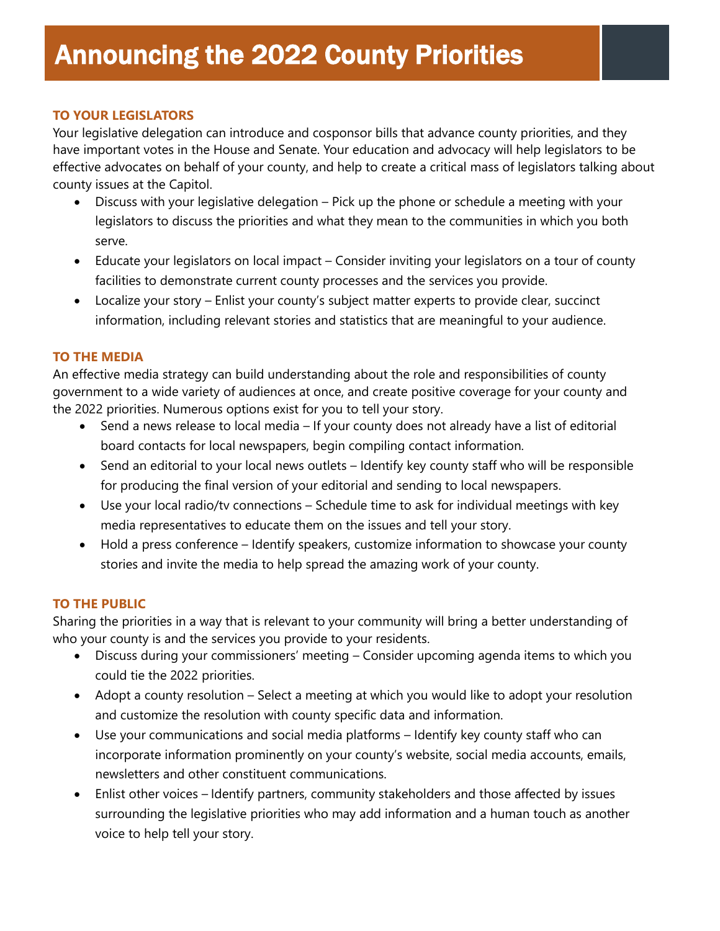#### **TO YOUR LEGISLATORS**

Your legislative delegation can introduce and cosponsor bills that advance county priorities, and they have important votes in the House and Senate. Your education and advocacy will help legislators to be effective advocates on behalf of your county, and help to create a critical mass of legislators talking about county issues at the Capitol.

- Discuss with your legislative delegation Pick up the phone or schedule a meeting with your legislators to discuss the priorities and what they mean to the communities in which you both serve.
- Educate your legislators on local impact Consider inviting your legislators on a tour of county facilities to demonstrate current county processes and the services you provide.
- Localize your story Enlist your county's subject matter experts to provide clear, succinct information, including relevant stories and statistics that are meaningful to your audience.

#### **TO THE MEDIA**

An effective media strategy can build understanding about the role and responsibilities of county government to a wide variety of audiences at once, and create positive coverage for your county and the 2022 priorities. Numerous options exist for you to tell your story.

- Send a news release to local media If your county does not already have a list of editorial board contacts for local newspapers, begin compiling contact information.
- Send an editorial to your local news outlets Identify key county staff who will be responsible for producing the final version of your editorial and sending to local newspapers.
- Use your local radio/tv connections Schedule time to ask for individual meetings with key media representatives to educate them on the issues and tell your story.
- Hold a press conference Identify speakers, customize information to showcase your county stories and invite the media to help spread the amazing work of your county.

#### **TO THE PUBLIC**

Sharing the priorities in a way that is relevant to your community will bring a better understanding of who your county is and the services you provide to your residents.

- Discuss during your commissioners' meeting Consider upcoming agenda items to which you could tie the 2022 priorities.
- Adopt a county resolution Select a meeting at which you would like to adopt your resolution and customize the resolution with county specific data and information.
- Use your communications and social media platforms Identify key county staff who can incorporate information prominently on your county's website, social media accounts, emails, newsletters and other constituent communications.
- Enlist other voices Identify partners, community stakeholders and those affected by issues surrounding the legislative priorities who may add information and a human touch as another voice to help tell your story.